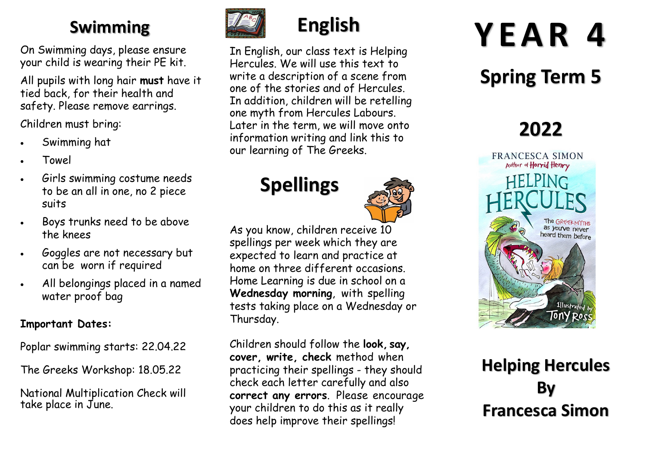### **Swimming**

On Swimming days, please ensure your child is wearing their PE kit.

All pupils with long hair **must** have it tied back, for their health and safety. Please remove earrings.

Children must bring:

- Swimming hat
- Towel
- Girls swimming costume needs to be an all in one, no 2 piece suits
- Boys trunks need to be above the knees
- Goggles are not necessary but can be worn if required
- All belongings placed in a named water proof bag

#### **Important Dates:**

Poplar swimming starts: 22.04.22

The Greeks Workshop: 18.05.22

National Multiplication Check will take place in June.



# **English**

In English, our class text is Helping Hercules. We will use this text to write a description of a scene from one of the stories and of Hercules. In addition, children will be retelling one myth from Hercules Labours. Later in the term, we will move onto information writing and link this to our learning of The Greeks.

## **Spellings**



As you know, children receive 10 spellings per week which they are expected to learn and practice at home on three different occasions. Home Learning is due in school on a **Wednesday morning**, with spelling tests taking place on a Wednesday or Thursday.

Children should follow the **look, say, cover, write, check** method when practicing their spellings - they should check each letter carefully and also **correct any errors**. Please encourage your children to do this as it really does help improve their spellings!

# **Y E A R 4**

# **Spring Term 5**

## **2022**



#### **Helping Hercules By Francesca Simon**